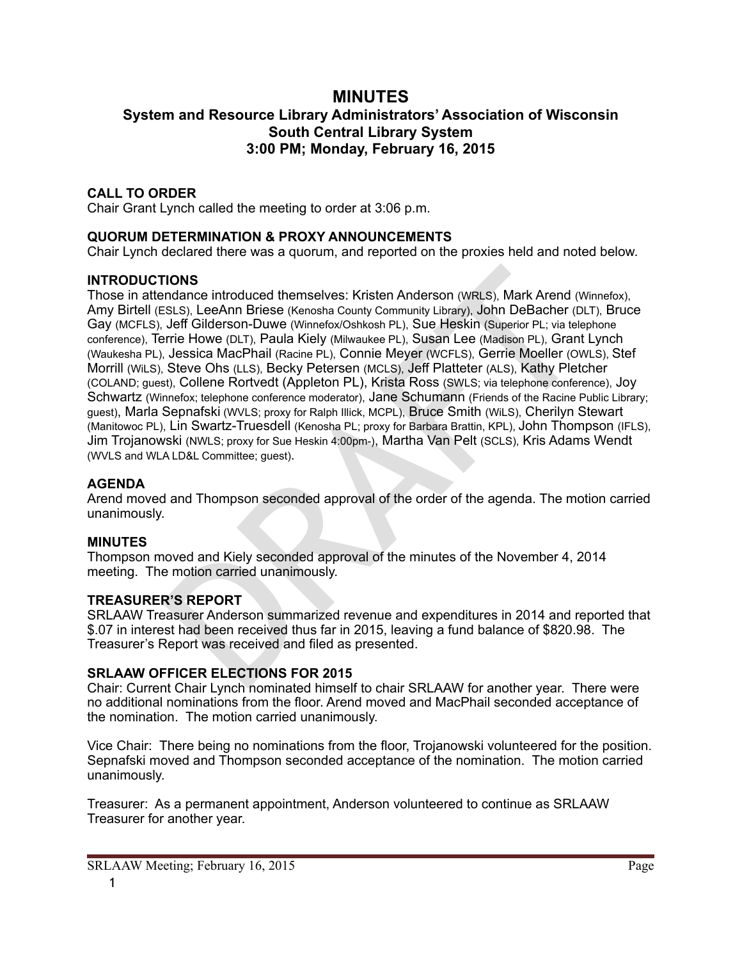# **MINUTES System and Resource Library Administrators' Association of Wisconsin South Central Library System 3:00 PM; Monday, February 16, 2015**

## **CALL TO ORDER**

Chair Grant Lynch called the meeting to order at 3:06 p.m.

### **QUORUM DETERMINATION & PROXY ANNOUNCEMENTS**

Chair Lynch declared there was a quorum, and reported on the proxies held and noted below.

### **INTRODUCTIONS**

**FIONS**<br> **EXALGONS**<br> **EXALGONS CONDITS CONSTIGNS**<br> **EXALGONS CONSTIGNS**<br> **EXALGONS CONSTIGNS**<br> **DRAFT CONSTIGNS**<br> **DRAFT CONSTIGNS**<br> **DRAFT CONSTIGNS**<br> **DRAFT CONSTIGNS**<br> **DRAFT CONSTIGNS**<br> **DRAFT CONSTIGNS**<br> **EXALGONS**<br> Those in attendance introduced themselves: Kristen Anderson (WRLS), Mark Arend (Winnefox), Amy Birtell (ESLS), LeeAnn Briese (Kenosha County Community Library), John DeBacher (DLT), Bruce Gay (MCFLS), Jeff Gilderson-Duwe (Winnefox/Oshkosh PL), Sue Heskin (Superior PL; via telephone conference), Terrie Howe (DLT), Paula Kiely (Milwaukee PL), Susan Lee (Madison PL), Grant Lynch (Waukesha PL), Jessica MacPhail (Racine PL), Connie Meyer (WCFLS), Gerrie Moeller (OWLS), Stef Morrill (WiLS), Steve Ohs (LLS), Becky Petersen (MCLS), Jeff Platteter (ALS), Kathy Pletcher (COLAND; guest), Collene Rortvedt (Appleton PL), Krista Ross (SWLS; via telephone conference), Joy Schwartz (Winnefox; telephone conference moderator), Jane Schumann (Friends of the Racine Public Library; guest), Marla Sepnafski (WVLS; proxy for Ralph Illick, MCPL), Bruce Smith (WiLS), Cherilyn Stewart (Manitowoc PL), Lin Swartz-Truesdell (Kenosha PL; proxy for Barbara Brattin, KPL), John Thompson (IFLS), Jim Trojanowski (NWLS; proxy for Sue Heskin 4:00pm-), Martha Van Pelt (SCLS), Kris Adams Wendt (WVLS and WLA LD&L Committee; guest).

#### **AGENDA**

Arend moved and Thompson seconded approval of the order of the agenda. The motion carried unanimously.

## **MINUTES**

Thompson moved and Kiely seconded approval of the minutes of the November 4, 2014 meeting. The motion carried unanimously.

#### **TREASURER'S REPORT**

SRLAAW Treasurer Anderson summarized revenue and expenditures in 2014 and reported that \$.07 in interest had been received thus far in 2015, leaving a fund balance of \$820.98. The Treasurer's Report was received and filed as presented.

#### **SRLAAW OFFICER ELECTIONS FOR 2015**

Chair: Current Chair Lynch nominated himself to chair SRLAAW for another year. There were no additional nominations from the floor. Arend moved and MacPhail seconded acceptance of the nomination. The motion carried unanimously.

Vice Chair: There being no nominations from the floor, Trojanowski volunteered for the position. Sepnafski moved and Thompson seconded acceptance of the nomination. The motion carried unanimously.

Treasurer: As a permanent appointment, Anderson volunteered to continue as SRLAAW Treasurer for another year.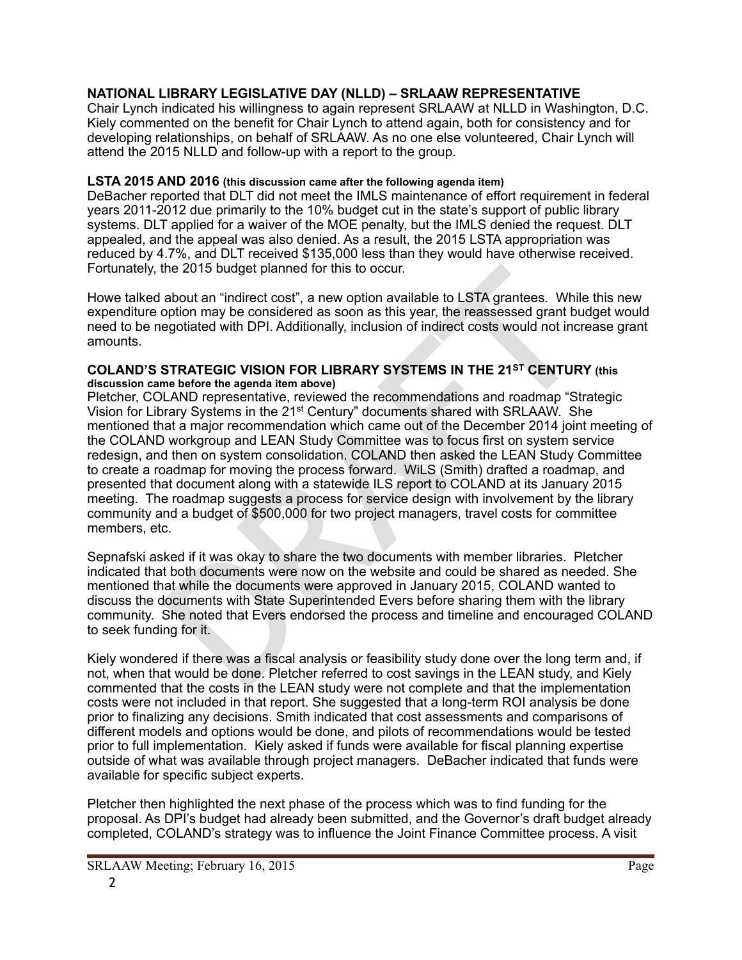# **NATIONAL LIBRARY LEGISLATIVE DAY (NLLD) – SRLAAW REPRESENTATIVE**

Chair Lynch indicated his willingness to again represent SRLAAW at NLLD in Washington, D.C. Kiely commented on the benefit for Chair Lynch to attend again, both for consistency and for developing relationships, on behalf of SRLAAW. As no one else volunteered, Chair Lynch will attend the 2015 NLLD and follow-up with a report to the group.

## **LSTA 2015 AND 2016 (this discussion came after the following agenda item)**

DeBacher reported that DLT did not meet the IMLS maintenance of effort requirement in federal years 2011-2012 due primarily to the 10% budget cut in the state's support of public library systems. DLT applied for a waiver of the MOE penalty, but the IMLS denied the request. DLT appealed, and the appeal was also denied. As a result, the 2015 LSTA appropriation was reduced by 4.7%, and DLT received \$135,000 less than they would have otherwise received. Fortunately, the 2015 budget planned for this to occur.

Howe talked about an "indirect cost", a new option available to LSTA grantees. While this new expenditure option may be considered as soon as this year, the reassessed grant budget would need to be negotiated with DPI. Additionally, inclusion of indirect costs would not increase grant amounts.

#### **COLAND'S STRATEGIC VISION FOR LIBRARY SYSTEMS IN THE 21ST CENTURY (this discussion came before the agenda item above)**

the 2015 budget planned for this to occur.<br>
about an "indirect cost", a new option available to LSTA grantees. While<br>
option may be considered as soon as this year, the reassessed grant bue<br>
egotiated with DPI. Additionall Pletcher, COLAND representative, reviewed the recommendations and roadmap "Strategic Vision for Library Systems in the 21st Century" documents shared with SRLAAW. She mentioned that a major recommendation which came out of the December 2014 joint meeting of the COLAND workgroup and LEAN Study Committee was to focus first on system service redesign, and then on system consolidation. COLAND then asked the LEAN Study Committee to create a roadmap for moving the process forward. WiLS (Smith) drafted a roadmap, and presented that document along with a statewide ILS report to COLAND at its January 2015 meeting. The roadmap suggests a process for service design with involvement by the library community and a budget of \$500,000 for two project managers, travel costs for committee members, etc.

Sepnafski asked if it was okay to share the two documents with member libraries. Pletcher indicated that both documents were now on the website and could be shared as needed. She mentioned that while the documents were approved in January 2015, COLAND wanted to discuss the documents with State Superintended Evers before sharing them with the library community. She noted that Evers endorsed the process and timeline and encouraged COLAND to seek funding for it.

Kiely wondered if there was a fiscal analysis or feasibility study done over the long term and, if not, when that would be done. Pletcher referred to cost savings in the LEAN study, and Kiely commented that the costs in the LEAN study were not complete and that the implementation costs were not included in that report. She suggested that a long-term ROI analysis be done prior to finalizing any decisions. Smith indicated that cost assessments and comparisons of different models and options would be done, and pilots of recommendations would be tested prior to full implementation. Kiely asked if funds were available for fiscal planning expertise outside of what was available through project managers. DeBacher indicated that funds were available for specific subject experts.

Pletcher then highlighted the next phase of the process which was to find funding for the proposal. As DPI's budget had already been submitted, and the Governor's draft budget already completed, COLAND's strategy was to influence the Joint Finance Committee process. A visit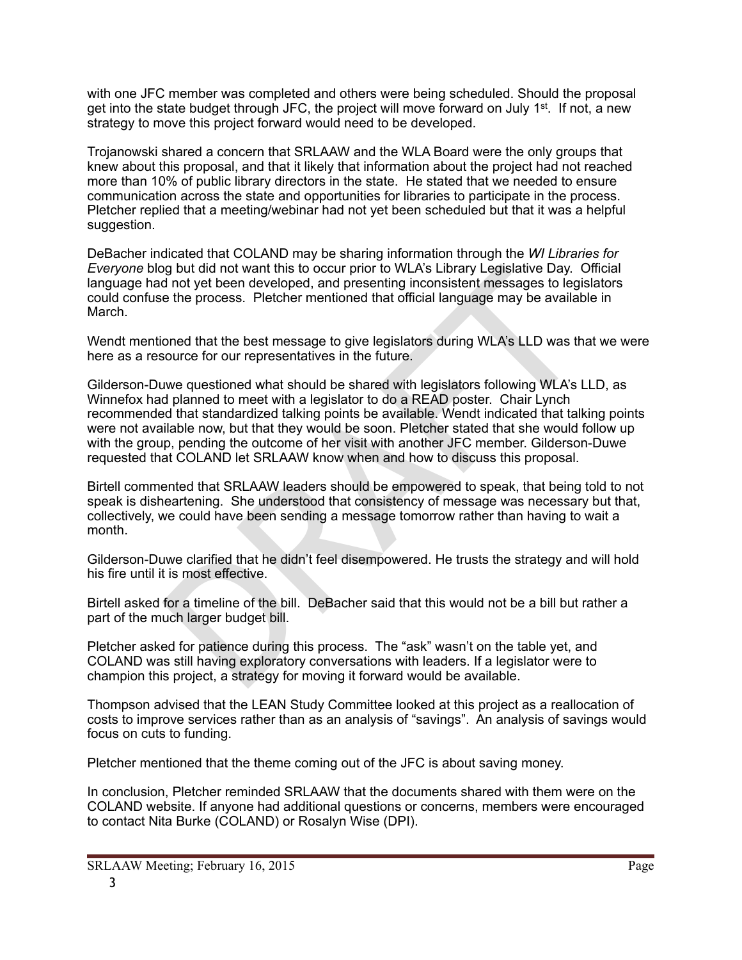with one JFC member was completed and others were being scheduled. Should the proposal get into the state budget through JFC, the project will move forward on July 1<sup>st</sup>. If not, a new strategy to move this project forward would need to be developed.

Trojanowski shared a concern that SRLAAW and the WLA Board were the only groups that knew about this proposal, and that it likely that information about the project had not reached more than 10% of public library directors in the state. He stated that we needed to ensure communication across the state and opportunities for libraries to participate in the process. Pletcher replied that a meeting/webinar had not yet been scheduled but that it was a helpful suggestion.

DeBacher indicated that COLAND may be sharing information through the *WI Libraries for Everyone* blog but did not want this to occur prior to WLA's Library Legislative Day. Official language had not yet been developed, and presenting inconsistent messages to legislators could confuse the process. Pletcher mentioned that official language may be available in March.

Wendt mentioned that the best message to give legislators during WLA's LLD was that we were here as a resource for our representatives in the future.

of not yet been developed, and presenting inconsistent messages to legislative and to the yet been developed, and presenting inconsistent message to give local language may be availab<br>oned that the best message to give leg Gilderson-Duwe questioned what should be shared with legislators following WLA's LLD, as Winnefox had planned to meet with a legislator to do a READ poster. Chair Lynch recommended that standardized talking points be available. Wendt indicated that talking points were not available now, but that they would be soon. Pletcher stated that she would follow up with the group, pending the outcome of her visit with another JFC member. Gilderson-Duwe requested that COLAND let SRLAAW know when and how to discuss this proposal.

Birtell commented that SRLAAW leaders should be empowered to speak, that being told to not speak is disheartening. She understood that consistency of message was necessary but that, collectively, we could have been sending a message tomorrow rather than having to wait a month.

Gilderson-Duwe clarified that he didn't feel disempowered. He trusts the strategy and will hold his fire until it is most effective.

Birtell asked for a timeline of the bill. DeBacher said that this would not be a bill but rather a part of the much larger budget bill.

Pletcher asked for patience during this process. The "ask" wasn't on the table yet, and COLAND was still having exploratory conversations with leaders. If a legislator were to champion this project, a strategy for moving it forward would be available.

Thompson advised that the LEAN Study Committee looked at this project as a reallocation of costs to improve services rather than as an analysis of "savings". An analysis of savings would focus on cuts to funding.

Pletcher mentioned that the theme coming out of the JFC is about saving money.

In conclusion, Pletcher reminded SRLAAW that the documents shared with them were on the COLAND website. If anyone had additional questions or concerns, members were encouraged to contact Nita Burke (COLAND) or Rosalyn Wise (DPI).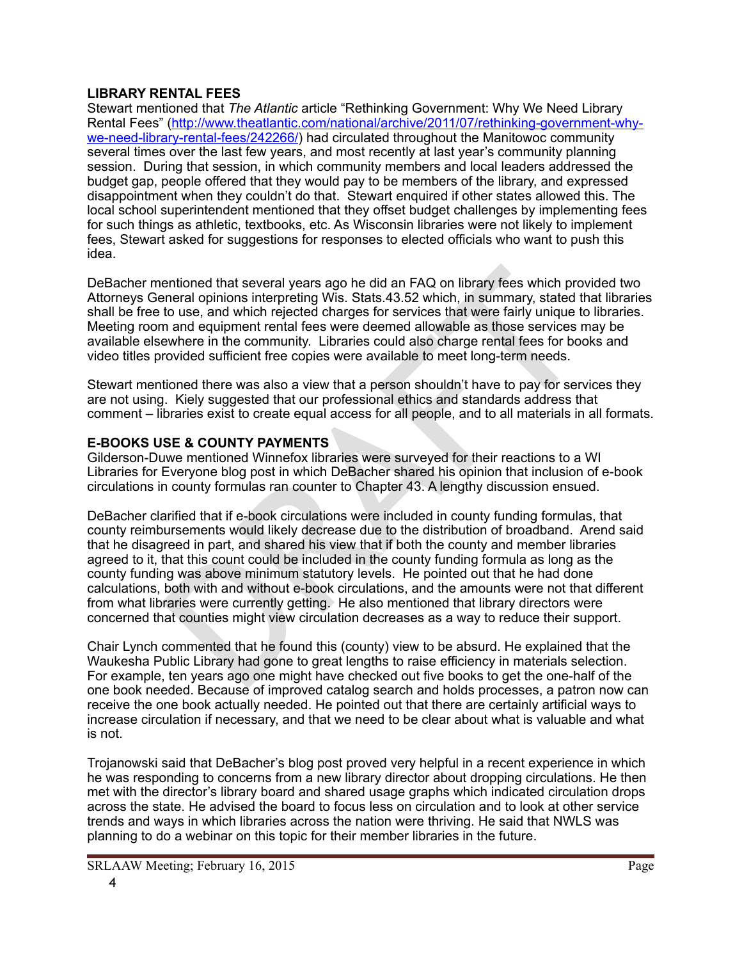## **LIBRARY RENTAL FEES**

Stewart mentioned that *The Atlantic* article "Rethinking Government: Why We Need Library [Rental Fees" \(http://www.theatlantic.com/national/archive/2011/07/rethinking-government-why](http://www.theatlantic.com/national/archive/2011/07/rethinking-government-why-we-need-library-rental-fees/242266/)we-need-library-rental-fees/242266/) had circulated throughout the Manitowoc community several times over the last few years, and most recently at last year's community planning session. During that session, in which community members and local leaders addressed the budget gap, people offered that they would pay to be members of the library, and expressed disappointment when they couldn't do that. Stewart enquired if other states allowed this. The local school superintendent mentioned that they offset budget challenges by implementing fees for such things as athletic, textbooks, etc. As Wisconsin libraries were not likely to implement fees, Stewart asked for suggestions for responses to elected officials who want to push this idea.

DeBacher mentioned that several years ago he did an FAQ on library fees which provided two Attorneys General opinions interpreting Wis. Stats.43.52 which, in summary, stated that libraries shall be free to use, and which rejected charges for services that were fairly unique to libraries. Meeting room and equipment rental fees were deemed allowable as those services may be available elsewhere in the community. Libraries could also charge rental fees for books and video titles provided sufficient free copies were available to meet long-term needs.

Stewart mentioned there was also a view that a person shouldn't have to pay for services they are not using. Kiely suggested that our professional ethics and standards address that comment – libraries exist to create equal access for all people, and to all materials in all formats.

# **E-BOOKS USE & COUNTY PAYMENTS**

Gilderson-Duwe mentioned Winnefox libraries were surveyed for their reactions to a WI Libraries for Everyone blog post in which DeBacher shared his opinion that inclusion of e-book circulations in county formulas ran counter to Chapter 43. A lengthy discussion ensued.

entioned that several years ago he did an FAQ on library fees which pro-<br>neneral opinions interpreting Wis. Stats.43.52 which, in summary, stated to<br>to use, and which rejected charges for services that where fairly unique DeBacher clarified that if e-book circulations were included in county funding formulas, that county reimbursements would likely decrease due to the distribution of broadband. Arend said that he disagreed in part, and shared his view that if both the county and member libraries agreed to it, that this count could be included in the county funding formula as long as the county funding was above minimum statutory levels. He pointed out that he had done calculations, both with and without e-book circulations, and the amounts were not that different from what libraries were currently getting. He also mentioned that library directors were concerned that counties might view circulation decreases as a way to reduce their support.

Chair Lynch commented that he found this (county) view to be absurd. He explained that the Waukesha Public Library had gone to great lengths to raise efficiency in materials selection. For example, ten years ago one might have checked out five books to get the one-half of the one book needed. Because of improved catalog search and holds processes, a patron now can receive the one book actually needed. He pointed out that there are certainly artificial ways to increase circulation if necessary, and that we need to be clear about what is valuable and what is not.

Trojanowski said that DeBacher's blog post proved very helpful in a recent experience in which he was responding to concerns from a new library director about dropping circulations. He then met with the director's library board and shared usage graphs which indicated circulation drops across the state. He advised the board to focus less on circulation and to look at other service trends and ways in which libraries across the nation were thriving. He said that NWLS was planning to do a webinar on this topic for their member libraries in the future.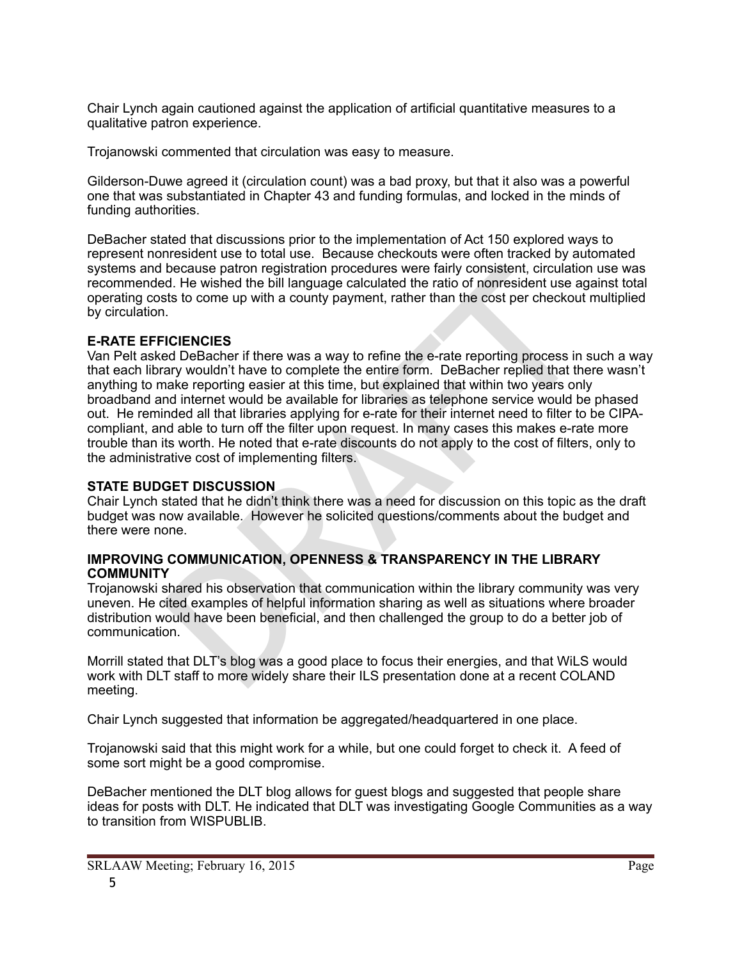Chair Lynch again cautioned against the application of artificial quantitative measures to a qualitative patron experience.

Trojanowski commented that circulation was easy to measure.

Gilderson-Duwe agreed it (circulation count) was a bad proxy, but that it also was a powerful one that was substantiated in Chapter 43 and funding formulas, and locked in the minds of funding authorities.

DeBacher stated that discussions prior to the implementation of Act 150 explored ways to represent nonresident use to total use. Because checkouts were often tracked by automated systems and because patron registration procedures were fairly consistent, circulation use was recommended. He wished the bill language calculated the ratio of nonresident use against total operating costs to come up with a county payment, rather than the cost per checkout multiplied by circulation.

## **E-RATE EFFICIENCIES**

because patron registration procedures were fairly consistent, circulation<br>of the wished the bill language calculated the ratio of nonresident use age<br>sts to come up with a county payment, rather than the cost per checkout Van Pelt asked DeBacher if there was a way to refine the e-rate reporting process in such a way that each library wouldn't have to complete the entire form. DeBacher replied that there wasn't anything to make reporting easier at this time, but explained that within two years only broadband and internet would be available for libraries as telephone service would be phased out. He reminded all that libraries applying for e-rate for their internet need to filter to be CIPAcompliant, and able to turn off the filter upon request. In many cases this makes e-rate more trouble than its worth. He noted that e-rate discounts do not apply to the cost of filters, only to the administrative cost of implementing filters.

## **STATE BUDGET DISCUSSION**

Chair Lynch stated that he didn't think there was a need for discussion on this topic as the draft budget was now available. However he solicited questions/comments about the budget and there were none.

## **IMPROVING COMMUNICATION, OPENNESS & TRANSPARENCY IN THE LIBRARY COMMUNITY**

Trojanowski shared his observation that communication within the library community was very uneven. He cited examples of helpful information sharing as well as situations where broader distribution would have been beneficial, and then challenged the group to do a better job of communication.

Morrill stated that DLT's blog was a good place to focus their energies, and that WiLS would work with DLT staff to more widely share their ILS presentation done at a recent COLAND meeting.

Chair Lynch suggested that information be aggregated/headquartered in one place.

Trojanowski said that this might work for a while, but one could forget to check it. A feed of some sort might be a good compromise.

DeBacher mentioned the DLT blog allows for guest blogs and suggested that people share ideas for posts with DLT. He indicated that DLT was investigating Google Communities as a way to transition from WISPUBLIB.

SRLAAW Meeting; February 16, 2015 Page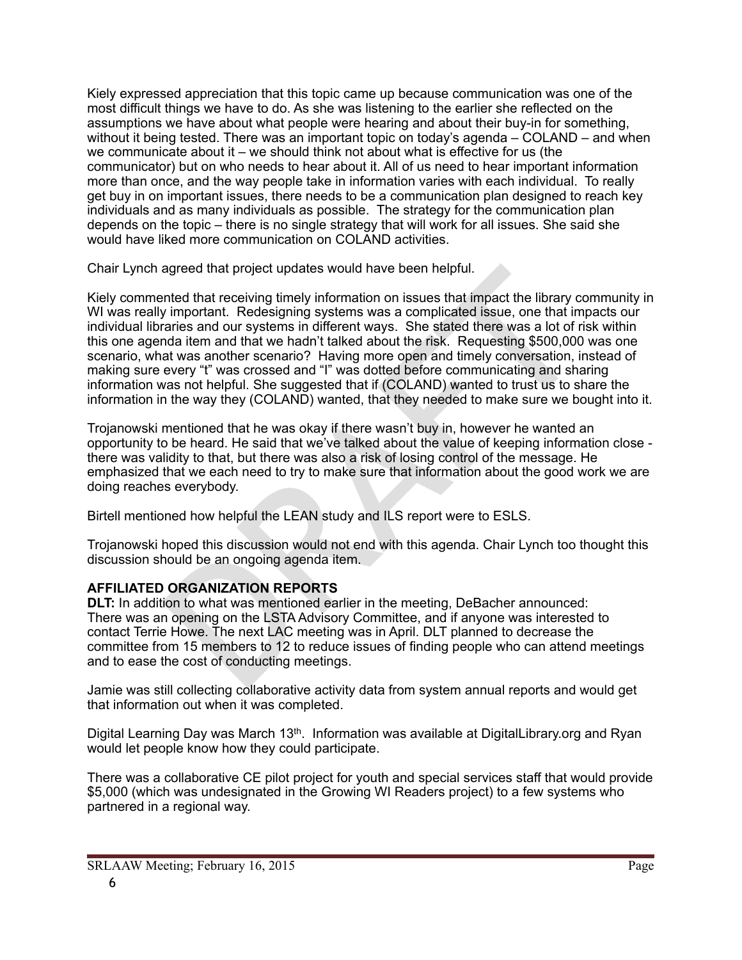Kiely expressed appreciation that this topic came up because communication was one of the most difficult things we have to do. As she was listening to the earlier she reflected on the assumptions we have about what people were hearing and about their buy-in for something, without it being tested. There was an important topic on today's agenda – COLAND – and when we communicate about it – we should think not about what is effective for us (the communicator) but on who needs to hear about it. All of us need to hear important information more than once, and the way people take in information varies with each individual. To really get buy in on important issues, there needs to be a communication plan designed to reach key individuals and as many individuals as possible. The strategy for the communication plan depends on the topic – there is no single strategy that will work for all issues. She said she would have liked more communication on COLAND activities.

Chair Lynch agreed that project updates would have been helpful.

agreed that project updates would have been helpful.<br>
Inted that receiving timely information on issues that limpact the library completed insure, heelesigning systems as a complicated issue, one that impact<br>
raries and ou Kiely commented that receiving timely information on issues that impact the library community in WI was really important. Redesigning systems was a complicated issue, one that impacts our individual libraries and our systems in different ways. She stated there was a lot of risk within this one agenda item and that we hadn't talked about the risk. Requesting \$500,000 was one scenario, what was another scenario? Having more open and timely conversation, instead of making sure every "t" was crossed and "I" was dotted before communicating and sharing information was not helpful. She suggested that if (COLAND) wanted to trust us to share the information in the way they (COLAND) wanted, that they needed to make sure we bought into it.

Trojanowski mentioned that he was okay if there wasn't buy in, however he wanted an opportunity to be heard. He said that we've talked about the value of keeping information close there was validity to that, but there was also a risk of losing control of the message. He emphasized that we each need to try to make sure that information about the good work we are doing reaches everybody.

Birtell mentioned how helpful the LEAN study and ILS report were to ESLS.

Trojanowski hoped this discussion would not end with this agenda. Chair Lynch too thought this discussion should be an ongoing agenda item.

# **AFFILIATED ORGANIZATION REPORTS**

**DLT:** In addition to what was mentioned earlier in the meeting, DeBacher announced: There was an opening on the LSTA Advisory Committee, and if anyone was interested to contact Terrie Howe. The next LAC meeting was in April. DLT planned to decrease the committee from 15 members to 12 to reduce issues of finding people who can attend meetings and to ease the cost of conducting meetings.

Jamie was still collecting collaborative activity data from system annual reports and would get that information out when it was completed.

Digital Learning Day was March 13<sup>th</sup>. Information was available at DigitalLibrary.org and Ryan would let people know how they could participate.

There was a collaborative CE pilot project for youth and special services staff that would provide \$5,000 (which was undesignated in the Growing WI Readers project) to a few systems who partnered in a regional way.